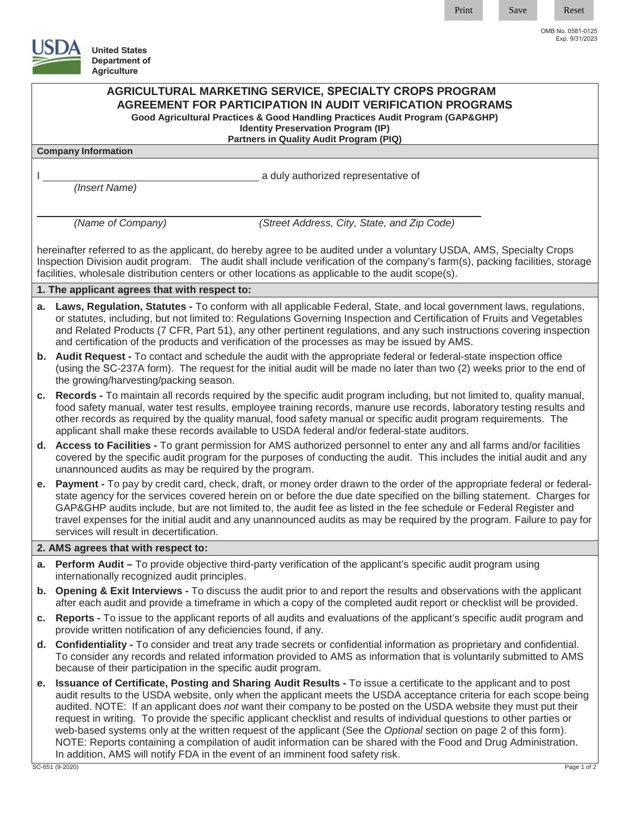Print Save Reset

OMB No. 0581-0125 Exp. 9/31/2023

**United States Department of**

|                                                                                                                                                                                                                                                                                                                                                             | <b>Agriculture</b>                                                                                                                                                                                                                                                                                                                                                                                                                                                                                                                                                                                                                                                                                                            |  |  |
|-------------------------------------------------------------------------------------------------------------------------------------------------------------------------------------------------------------------------------------------------------------------------------------------------------------------------------------------------------------|-------------------------------------------------------------------------------------------------------------------------------------------------------------------------------------------------------------------------------------------------------------------------------------------------------------------------------------------------------------------------------------------------------------------------------------------------------------------------------------------------------------------------------------------------------------------------------------------------------------------------------------------------------------------------------------------------------------------------------|--|--|
|                                                                                                                                                                                                                                                                                                                                                             | AGRICULTURAL MARKETING SERVICE, SPECIALTY CROPS PROGRAM<br><b>AGREEMENT FOR PARTICIPATION IN AUDIT VERIFICATION PROGRAMS</b><br>Good Agricultural Practices & Good Handling Practices Audit Program (GAP&GHP)<br><b>Identity Preservation Program (IP)</b><br>Partners in Quality Audit Program (PIQ)                                                                                                                                                                                                                                                                                                                                                                                                                         |  |  |
| <b>Company Information</b>                                                                                                                                                                                                                                                                                                                                  |                                                                                                                                                                                                                                                                                                                                                                                                                                                                                                                                                                                                                                                                                                                               |  |  |
|                                                                                                                                                                                                                                                                                                                                                             | a duly authorized representative of<br>(Insert Name)                                                                                                                                                                                                                                                                                                                                                                                                                                                                                                                                                                                                                                                                          |  |  |
|                                                                                                                                                                                                                                                                                                                                                             | (Name of Company)<br>(Street Address, City, State, and Zip Code)                                                                                                                                                                                                                                                                                                                                                                                                                                                                                                                                                                                                                                                              |  |  |
| hereinafter referred to as the applicant, do hereby agree to be audited under a voluntary USDA, AMS, Specialty Crops<br>Inspection Division audit program. The audit shall include verification of the company's farm(s), packing facilities, storage<br>facilities, wholesale distribution centers or other locations as applicable to the audit scope(s). |                                                                                                                                                                                                                                                                                                                                                                                                                                                                                                                                                                                                                                                                                                                               |  |  |
| 1. The applicant agrees that with respect to:                                                                                                                                                                                                                                                                                                               |                                                                                                                                                                                                                                                                                                                                                                                                                                                                                                                                                                                                                                                                                                                               |  |  |
| а.                                                                                                                                                                                                                                                                                                                                                          | Laws, Regulation, Statutes - To conform with all applicable Federal, State, and local government laws, regulations,<br>or statutes, including, but not limited to: Regulations Governing Inspection and Certification of Fruits and Vegetables<br>and Related Products (7 CFR, Part 51), any other pertinent regulations, and any such instructions covering inspection<br>and certification of the products and verification of the processes as may be issued by AMS.                                                                                                                                                                                                                                                       |  |  |
|                                                                                                                                                                                                                                                                                                                                                             | <b>b.</b> Audit Request - To contact and schedule the audit with the appropriate federal or federal-state inspection office<br>(using the SC-237A form). The request for the initial audit will be made no later than two (2) weeks prior to the end of<br>the growing/harvesting/packing season.                                                                                                                                                                                                                                                                                                                                                                                                                             |  |  |
|                                                                                                                                                                                                                                                                                                                                                             | c. Records - To maintain all records required by the specific audit program including, but not limited to, quality manual,<br>food safety manual, water test results, employee training records, manure use records, laboratory testing results and<br>other records as required by the quality manual, food safety manual or specific audit program requirements. The<br>applicant shall make these records available to USDA federal and/or federal-state auditors.                                                                                                                                                                                                                                                         |  |  |
|                                                                                                                                                                                                                                                                                                                                                             | d. Access to Facilities - To grant permission for AMS authorized personnel to enter any and all farms and/or facilities<br>covered by the specific audit program for the purposes of conducting the audit. This includes the initial audit and any<br>unannounced audits as may be required by the program.                                                                                                                                                                                                                                                                                                                                                                                                                   |  |  |
|                                                                                                                                                                                                                                                                                                                                                             | e. Payment - To pay by credit card, check, draft, or money order drawn to the order of the appropriate federal or federal-<br>state agency for the services covered herein on or before the due date specified on the billing statement. Charges for<br>GAP&GHP audits include, but are not limited to, the audit fee as listed in the fee schedule or Federal Register and<br>travel expenses for the initial audit and any unannounced audits as may be required by the program. Failure to pay for<br>services will result in decertification.                                                                                                                                                                             |  |  |
| 2. AMS agrees that with respect to:                                                                                                                                                                                                                                                                                                                         |                                                                                                                                                                                                                                                                                                                                                                                                                                                                                                                                                                                                                                                                                                                               |  |  |
|                                                                                                                                                                                                                                                                                                                                                             | a. Perform Audit – To provide objective third-party verification of the applicant's specific audit program using<br>internationally recognized audit principles.                                                                                                                                                                                                                                                                                                                                                                                                                                                                                                                                                              |  |  |
|                                                                                                                                                                                                                                                                                                                                                             | b. Opening & Exit Interviews - To discuss the audit prior to and report the results and observations with the applicant<br>after each audit and provide a timeframe in which a copy of the completed audit report or checklist will be provided.                                                                                                                                                                                                                                                                                                                                                                                                                                                                              |  |  |
| c.                                                                                                                                                                                                                                                                                                                                                          | Reports - To issue to the applicant reports of all audits and evaluations of the applicant's specific audit program and<br>provide written notification of any deficiencies found, if any.                                                                                                                                                                                                                                                                                                                                                                                                                                                                                                                                    |  |  |
| d.                                                                                                                                                                                                                                                                                                                                                          | Confidentiality - To consider and treat any trade secrets or confidential information as proprietary and confidential.<br>To consider any records and related information provided to AMS as information that is voluntarily submitted to AMS<br>because of their participation in the specific audit program.                                                                                                                                                                                                                                                                                                                                                                                                                |  |  |
| е.                                                                                                                                                                                                                                                                                                                                                          | Issuance of Certificate, Posting and Sharing Audit Results - To issue a certificate to the applicant and to post<br>audit results to the USDA website, only when the applicant meets the USDA acceptance criteria for each scope being<br>audited. NOTE: If an applicant does not want their company to be posted on the USDA website they must put their<br>request in writing. To provide the specific applicant checklist and results of individual questions to other parties or<br>web-based systems only at the written request of the applicant (See the Optional section on page 2 of this form).<br>NOTE: Reports containing a compilation of audit information can be shared with the Food and Drug Administration. |  |  |

In addition, AMS will notify FDA in the event of an imminent food safety risk.

SC-651 (9-2020) Page 1 of 2